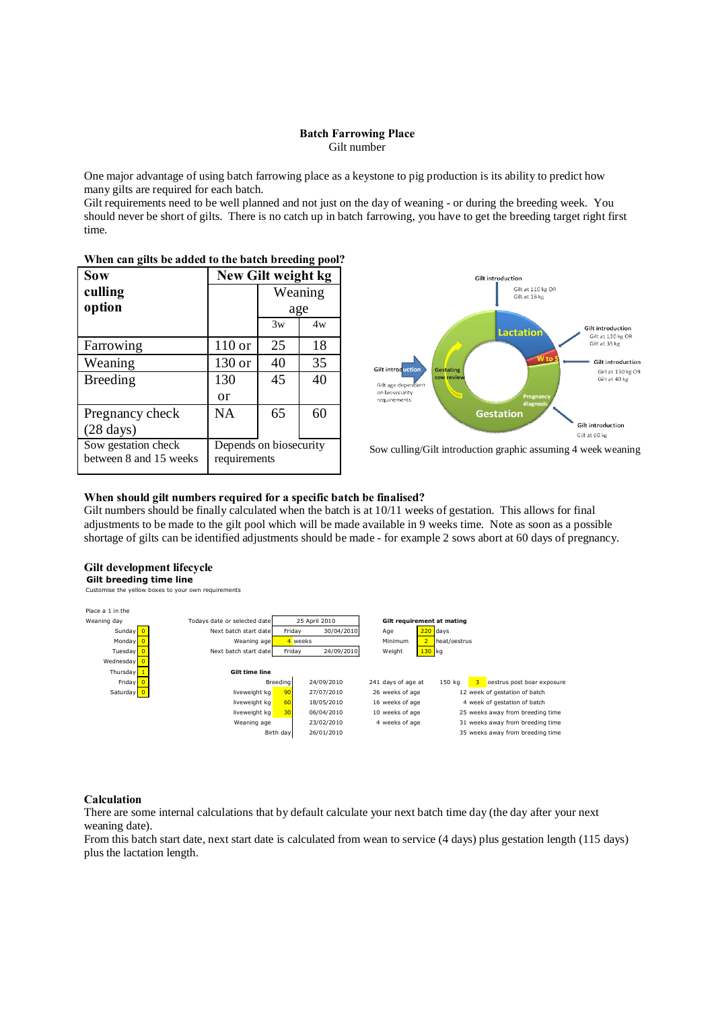#### **Batch Farrowing Place** Gilt number

One major advantage of using batch farrowing place as a keystone to pig production is its ability to predict how many gilts are required for each batch.

Gilt requirements need to be well planned and not just on the day of weaning - or during the breeding week. You should never be short of gilts. There is no catch up in batch farrowing, you have to get the breeding target right first time.

| <b>Sow</b>                                    |                                        | New Gilt weight kg |    |
|-----------------------------------------------|----------------------------------------|--------------------|----|
| culling                                       |                                        | Weaning            |    |
| option                                        |                                        | age                |    |
|                                               |                                        | 3w                 | 4w |
| Farrowing                                     | $110$ or                               | 25                 | 18 |
| Weaning                                       | 130 or                                 | 40                 | 35 |
| <b>Breeding</b>                               | 130                                    | 45                 | 40 |
|                                               | or                                     |                    |    |
| Pregnancy check                               | <b>NA</b>                              | 65                 | 60 |
| $(28 \text{ days})$                           |                                        |                    |    |
| Sow gestation check<br>between 8 and 15 weeks | Depends on biosecurity<br>requirements |                    |    |



## **When can gilts be added to the batch breeding pool?**

Sow culling/Gilt introduction graphic assuming 4 week weaning

#### **When should gilt numbers required for a specific batch be finalised?**

Gilt numbers should be finally calculated when the batch is at 10/11 weeks of gestation. This allows for final adjustments to be made to the gilt pool which will be made available in 9 weeks time. Note as soon as a possible shortage of gilts can be identified adjustments should be made - for example 2 sows abort at 60 days of pregnancy.

## **Gilt development lifecycle**

**Gilt breeding time line** Customise the yellow boxes to your own requirements



#### **Calculation**

There are some internal calculations that by default calculate your next batch time day (the day after your next weaning date).

From this batch start date, next start date is calculated from wean to service (4 days) plus gestation length (115 days) plus the lactation length.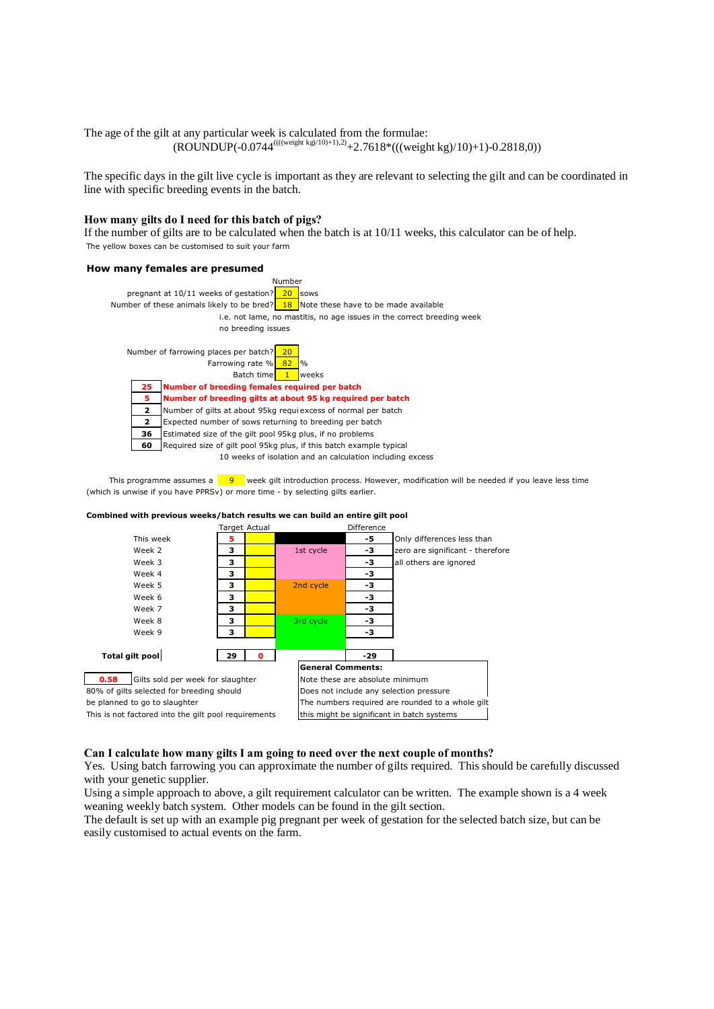The age of the gilt at any particular week is calculated from the formulae:  $(ROUNDUP(-0.0744^{(((weight kg)/10)+1),2)}+2.7618*((\text{weight kg})/10)+1)-0.2818,0))$ 

The specific days in the gilt live cycle is important as they are relevant to selecting the gilt and can be coordinated in line with specific breeding events in the batch.

#### **How many gilts do I need for this batch of pigs?**

If the number of gilts are to be calculated when the batch is at 10/11 weeks, this calculator can be of help. The yellow boxes can be customised to suit your farm

#### **How many females are presumed**



This programme assumes a  $\frac{9}{100}$  week gilt introduction process. However, modification will be needed if you leave less time (which is unwise if you have PPRSv) or more time - by selecting gilts earlier.



#### **Combined with previous weeks/batch results we can build an entire gilt pool**

**Can I calculate how many gilts I am going to need over the next couple of months?**

Yes. Using batch farrowing you can approximate the number of gilts required. This should be carefully discussed with your genetic supplier.

Using a simple approach to above, a gilt requirement calculator can be written. The example shown is a 4 week weaning weekly batch system. Other models can be found in the gilt section.

The default is set up with an example pig pregnant per week of gestation for the selected batch size, but can be easily customised to actual events on the farm.